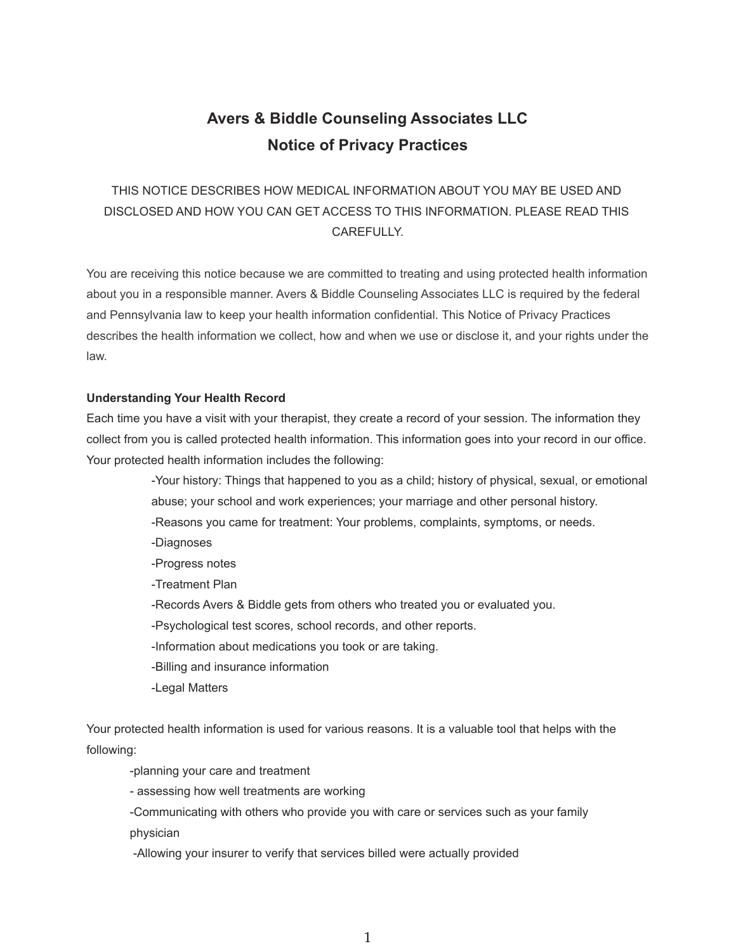# **Avers & Biddle Counseling Associates LLC Notice of Privacy Practices**

# THIS NOTICE DESCRIBES HOW MEDICAL INFORMATION ABOUT YOU MAY BE USED AND DISCLOSED AND HOW YOU CAN GET ACCESS TO THIS INFORMATION. PLEASE READ THIS CAREFULLY.

You are receiving this notice because we are committed to treating and using protected health information about you in a responsible manner. Avers & Biddle Counseling Associates LLC is required by the federal and Pennsylvania law to keep your health information confidential. This Notice of Privacy Practices describes the health information we collect, how and when we use or disclose it, and your rights under the law.

# **Understanding Your Health Record**

Each time you have a visit with your therapist, they create a record of your session. The information they collect from you is called protected health information. This information goes into your record in our office. Your protected health information includes the following:

> -Your history: Things that happened to you as a child; history of physical, sexual, or emotional abuse; your school and work experiences; your marriage and other personal history. -Reasons you came for treatment: Your problems, complaints, symptoms, or needs.

- -Diagnoses
- -Progress notes
- -Treatment Plan
- -Records Avers & Biddle gets from others who treated you or evaluated you.
- -Psychological test scores, school records, and other reports.
- -Information about medications you took or are taking.
- -Billing and insurance information
- -Legal Matters

Your protected health information is used for various reasons. It is a valuable tool that helps with the following:

-planning your care and treatment

- assessing how well treatments are working

-Communicating with others who provide you with care or services such as your family

physician

-Allowing your insurer to verify that services billed were actually provided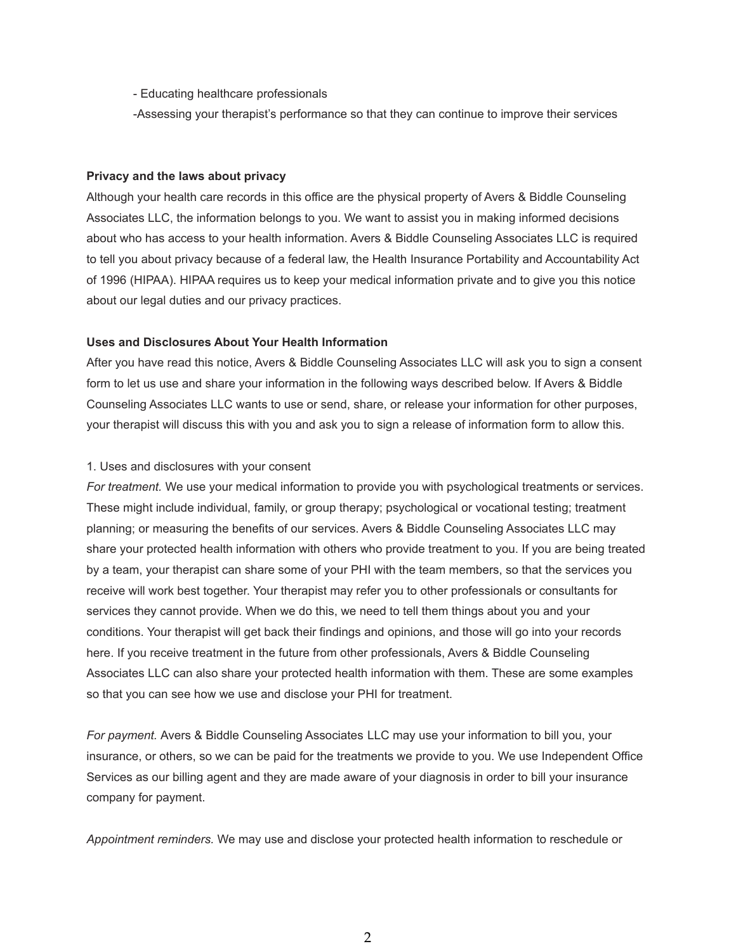- Educating healthcare professionals
- -Assessing your therapist's performance so that they can continue to improve their services

#### **Privacy and the laws about privacy**

Although your health care records in this office are the physical property of Avers & Biddle Counseling Associates LLC, the information belongs to you. We want to assist you in making informed decisions about who has access to your health information. Avers & Biddle Counseling Associates LLC is required to tell you about privacy because of a federal law, the Health Insurance Portability and Accountability Act of 1996 (HIPAA). HIPAA requires us to keep your medical information private and to give you this notice about our legal duties and our privacy practices.

# **Uses and Disclosures About Your Health Information**

After you have read this notice, Avers & Biddle Counseling Associates LLC will ask you to sign a consent form to let us use and share your information in the following ways described below. If Avers & Biddle Counseling Associates LLC wants to use or send, share, or release your information for other purposes, your therapist will discuss this with you and ask you to sign a release of information form to allow this.

# 1. Uses and disclosures with your consent

*For treatment.* We use your medical information to provide you with psychological treatments or services. These might include individual, family, or group therapy; psychological or vocational testing; treatment planning; or measuring the benefits of our services. Avers & Biddle Counseling Associates LLC may share your protected health information with others who provide treatment to you. If you are being treated by a team, your therapist can share some of your PHI with the team members, so that the services you receive will work best together. Your therapist may refer you to other professionals or consultants for services they cannot provide. When we do this, we need to tell them things about you and your conditions. Your therapist will get back their findings and opinions, and those will go into your records here. If you receive treatment in the future from other professionals, Avers & Biddle Counseling Associates LLC can also share your protected health information with them. These are some examples so that you can see how we use and disclose your PHI for treatment.

*For payment.* Avers & Biddle Counseling Associates LLC may use your information to bill you, your insurance, or others, so we can be paid for the treatments we provide to you. We use Independent Office Services as our billing agent and they are made aware of your diagnosis in order to bill your insurance company for payment.

*Appointment reminders.* We may use and disclose your protected health information to reschedule or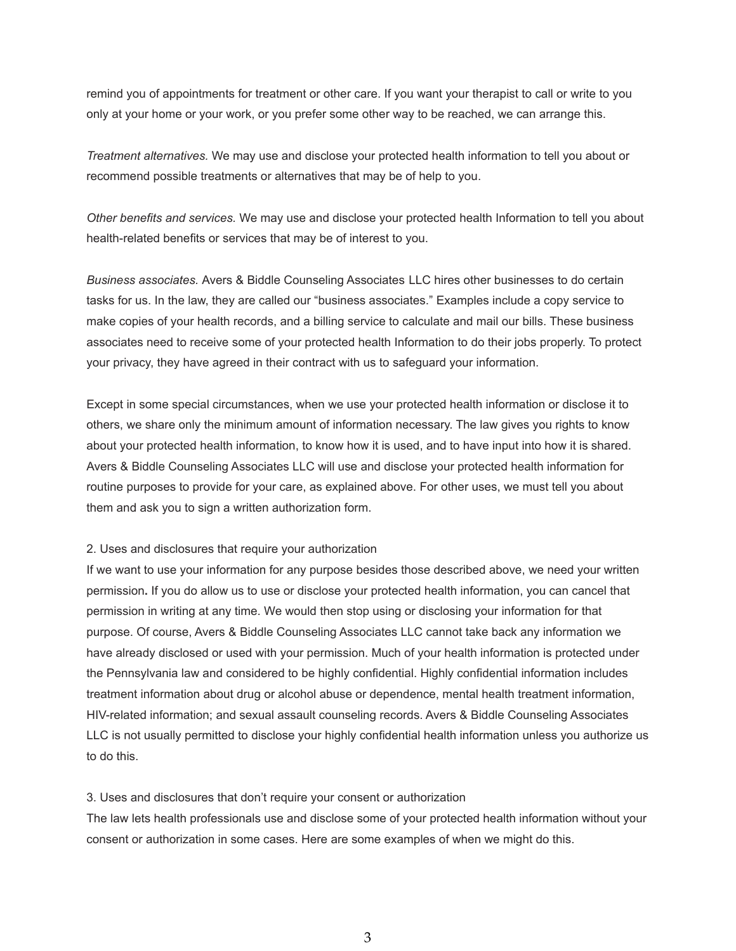remind you of appointments for treatment or other care. If you want your therapist to call or write to you only at your home or your work, or you prefer some other way to be reached, we can arrange this.

*Treatment alternatives.* We may use and disclose your protected health information to tell you about or recommend possible treatments or alternatives that may be of help to you.

*Other benefits and services.* We may use and disclose your protected health Information to tell you about health-related benefits or services that may be of interest to you.

*Business associates.* Avers & Biddle Counseling Associates LLC hires other businesses to do certain tasks for us. In the law, they are called our "business associates." Examples include a copy service to make copies of your health records, and a billing service to calculate and mail our bills. These business associates need to receive some of your protected health Information to do their jobs properly. To protect your privacy, they have agreed in their contract with us to safeguard your information.

Except in some special circumstances, when we use your protected health information or disclose it to others, we share only the minimum amount of information necessary. The law gives you rights to know about your protected health information, to know how it is used, and to have input into how it is shared. Avers & Biddle Counseling Associates LLC will use and disclose your protected health information for routine purposes to provide for your care, as explained above. For other uses, we must tell you about them and ask you to sign a written authorization form.

#### 2. Uses and disclosures that require your authorization

If we want to use your information for any purpose besides those described above, we need your written permission**.** If you do allow us to use or disclose your protected health information, you can cancel that permission in writing at any time. We would then stop using or disclosing your information for that purpose. Of course, Avers & Biddle Counseling Associates LLC cannot take back any information we have already disclosed or used with your permission. Much of your health information is protected under the Pennsylvania law and considered to be highly confidential. Highly confidential information includes treatment information about drug or alcohol abuse or dependence, mental health treatment information, HIV-related information; and sexual assault counseling records. Avers & Biddle Counseling Associates LLC is not usually permitted to disclose your highly confidential health information unless you authorize us to do this.

#### 3. Uses and disclosures that don't require your consent or authorization

The law lets health professionals use and disclose some of your protected health information without your consent or authorization in some cases. Here are some examples of when we might do this.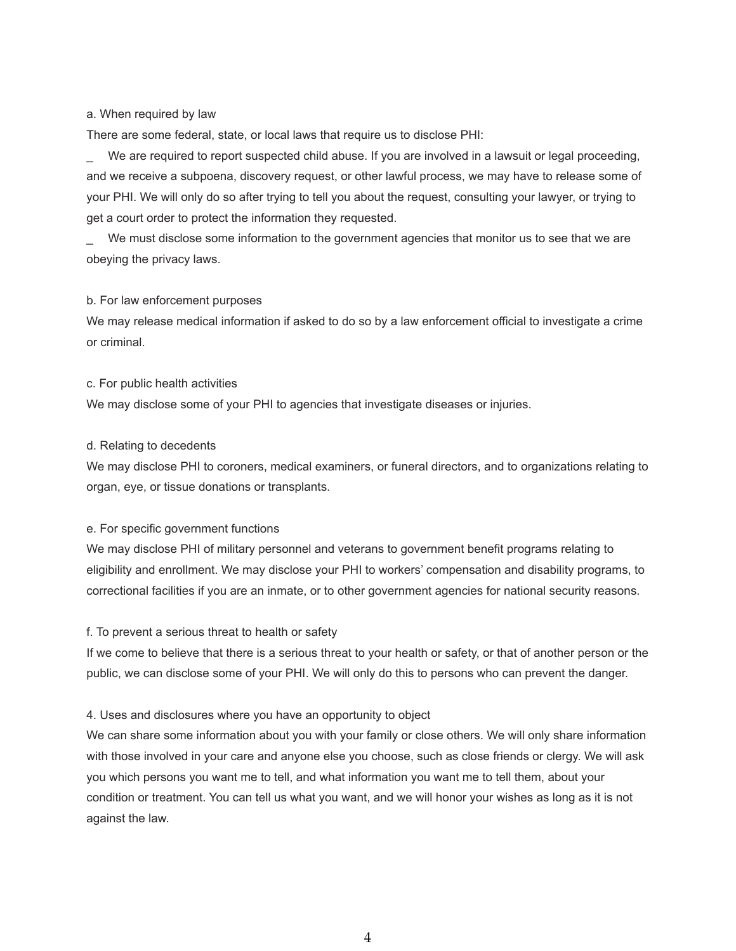# a. When required by law

There are some federal, state, or local laws that require us to disclose PHI:

We are required to report suspected child abuse. If you are involved in a lawsuit or legal proceeding, and we receive a subpoena, discovery request, or other lawful process, we may have to release some of your PHI. We will only do so after trying to tell you about the request, consulting your lawyer, or trying to get a court order to protect the information they requested.

We must disclose some information to the government agencies that monitor us to see that we are obeying the privacy laws.

#### b. For law enforcement purposes

We may release medical information if asked to do so by a law enforcement official to investigate a crime or criminal.

# c. For public health activities

We may disclose some of your PHI to agencies that investigate diseases or injuries.

# d. Relating to decedents

We may disclose PHI to coroners, medical examiners, or funeral directors, and to organizations relating to organ, eye, or tissue donations or transplants.

# e. For specific government functions

We may disclose PHI of military personnel and veterans to government benefit programs relating to eligibility and enrollment. We may disclose your PHI to workers' compensation and disability programs, to correctional facilities if you are an inmate, or to other government agencies for national security reasons.

#### f. To prevent a serious threat to health or safety

If we come to believe that there is a serious threat to your health or safety, or that of another person or the public, we can disclose some of your PHI. We will only do this to persons who can prevent the danger.

# 4. Uses and disclosures where you have an opportunity to object

We can share some information about you with your family or close others. We will only share information with those involved in your care and anyone else you choose, such as close friends or clergy. We will ask you which persons you want me to tell, and what information you want me to tell them, about your condition or treatment. You can tell us what you want, and we will honor your wishes as long as it is not against the law.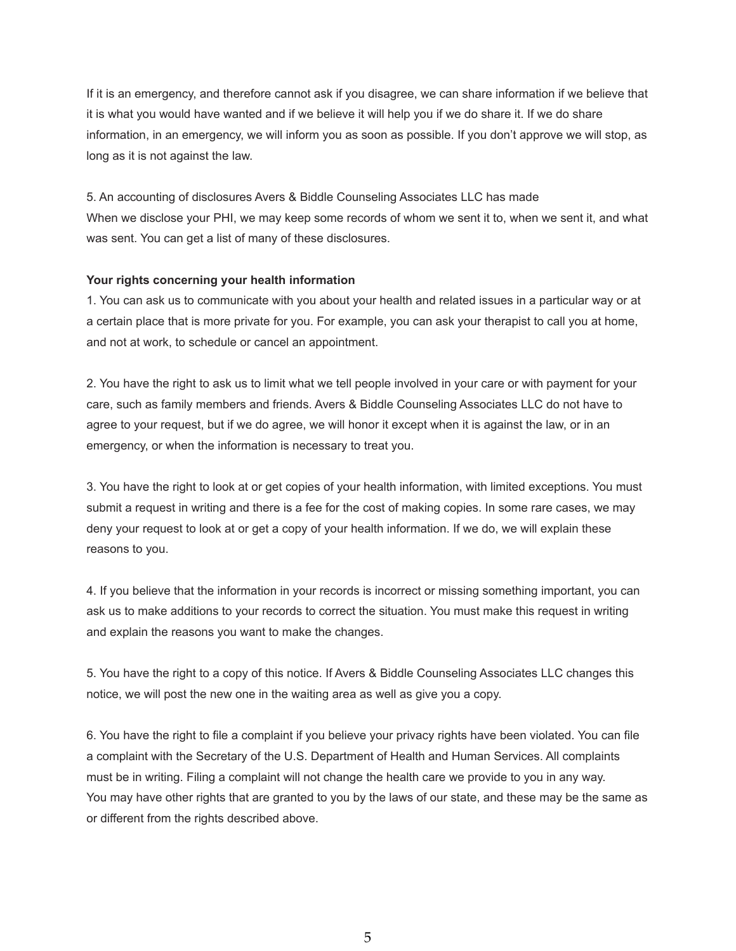If it is an emergency, and therefore cannot ask if you disagree, we can share information if we believe that it is what you would have wanted and if we believe it will help you if we do share it. If we do share information, in an emergency, we will inform you as soon as possible. If you don't approve we will stop, as long as it is not against the law.

5. An accounting of disclosures Avers & Biddle Counseling Associates LLC has made When we disclose your PHI, we may keep some records of whom we sent it to, when we sent it, and what was sent. You can get a list of many of these disclosures.

# **Your rights concerning your health information**

1. You can ask us to communicate with you about your health and related issues in a particular way or at a certain place that is more private for you. For example, you can ask your therapist to call you at home, and not at work, to schedule or cancel an appointment.

2. You have the right to ask us to limit what we tell people involved in your care or with payment for your care, such as family members and friends. Avers & Biddle Counseling Associates LLC do not have to agree to your request, but if we do agree, we will honor it except when it is against the law, or in an emergency, or when the information is necessary to treat you.

3. You have the right to look at or get copies of your health information, with limited exceptions. You must submit a request in writing and there is a fee for the cost of making copies. In some rare cases, we may deny your request to look at or get a copy of your health information. If we do, we will explain these reasons to you.

4. If you believe that the information in your records is incorrect or missing something important, you can ask us to make additions to your records to correct the situation. You must make this request in writing and explain the reasons you want to make the changes.

5. You have the right to a copy of this notice. If Avers & Biddle Counseling Associates LLC changes this notice, we will post the new one in the waiting area as well as give you a copy.

6. You have the right to file a complaint if you believe your privacy rights have been violated. You can file a complaint with the Secretary of the U.S. Department of Health and Human Services. All complaints must be in writing. Filing a complaint will not change the health care we provide to you in any way. You may have other rights that are granted to you by the laws of our state, and these may be the same as or different from the rights described above.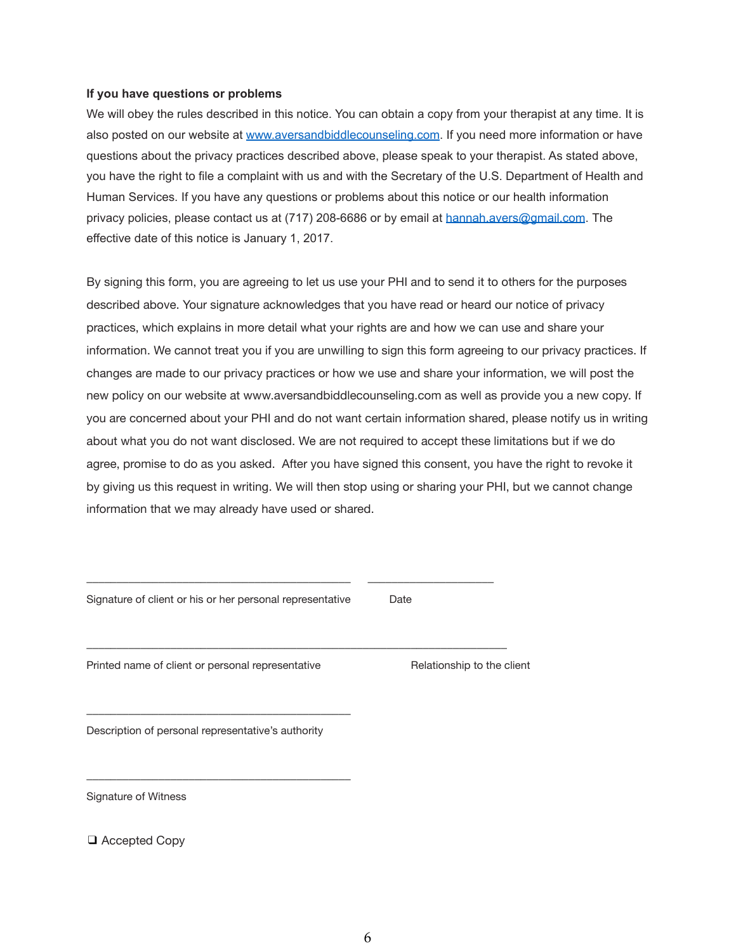# **If you have questions or problems**

We will obey the rules described in this notice. You can obtain a copy from your therapist at any time. It is also posted on our website at [www.aversandbiddlecounseling.com.](http://www.aversandbiddlecounseling.com) If you need more information or have questions about the privacy practices described above, please speak to your therapist. As stated above, you have the right to file a complaint with us and with the Secretary of the U.S. Department of Health and Human Services. If you have any questions or problems about this notice or our health information privacy policies, please contact us at (717) 208-6686 or by email at [hannah.avers@gmail.com](mailto:hannah.avers@gmail.com). The effective date of this notice is January 1, 2017.

By signing this form, you are agreeing to let us use your PHI and to send it to others for the purposes described above. Your signature acknowledges that you have read or heard our notice of privacy practices, which explains in more detail what your rights are and how we can use and share your information. We cannot treat you if you are unwilling to sign this form agreeing to our privacy practices. If changes are made to our privacy practices or how we use and share your information, we will post the new policy on our website at www.aversandbiddlecounseling.com as well as provide you a new copy. If you are concerned about your PHI and do not want certain information shared, please notify us in writing about what you do not want disclosed. We are not required to accept these limitations but if we do agree, promise to do as you asked. After you have signed this consent, you have the right to revoke it by giving us this request in writing. We will then stop using or sharing your PHI, but we cannot change information that we may already have used or shared.

| Signature of client or his or her personal representative | Date                       |
|-----------------------------------------------------------|----------------------------|
| Printed name of client or personal representative         | Relationship to the client |

Description of personal representative's authority

\_\_\_\_\_\_\_\_\_\_\_\_\_\_\_\_\_\_\_\_\_\_\_\_\_\_\_\_\_\_\_\_\_\_\_\_\_\_\_\_\_\_\_\_

\_\_\_\_\_\_\_\_\_\_\_\_\_\_\_\_\_\_\_\_\_\_\_\_\_\_\_\_\_\_\_\_\_\_\_\_\_\_\_\_\_\_\_\_

Signature of Witness

❑ Accepted Copy